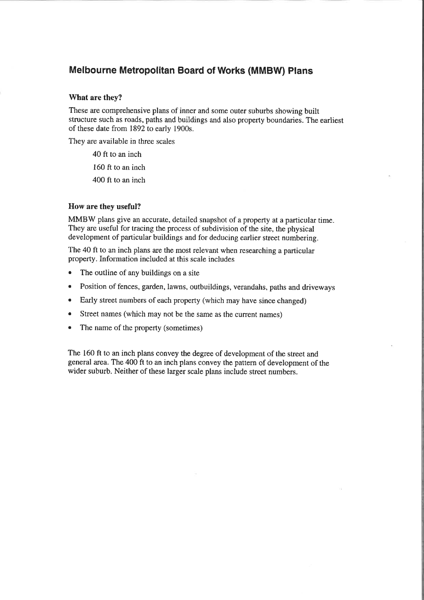## **Melbourne Metropolitan Board of Works (MMBW) Plans**

#### What are they?

These are comprehensive plans of inner and some outer suburbs showing built structure such as roads, paths and buildings and also property boundaries. The earliest of these date from 1892 to early 1900s.

They are available in three scales

40 ft to an inch 160 ft to an inch 400 ft to an inch

#### How are they useful?

MMBW plans give an accurate, detailed snapshot of a property at a particular time. They are useful for tracing the process of subdivision of the site, the physical development of particular buildings and for deducing earlier street numbering.

The 40 ft to an inch plans are the most relevant when researching a particular property. Information included at this scale includes

- $\bullet$ The outline of any buildings on a site
- Position of fences, garden, lawns, outbuildings, verandahs, paths and driveways  $\bullet$
- Early street numbers of each property (which may have since changed)  $\bullet$
- Street names (which may not be the same as the current names)  $\bullet$
- The name of the property (sometimes)  $\bullet$

The 160 ft to an inch plans convey the degree of development of the street and general area. The 400 ft to an inch plans convey the pattern of development of the wider suburb. Neither of these larger scale plans include street numbers.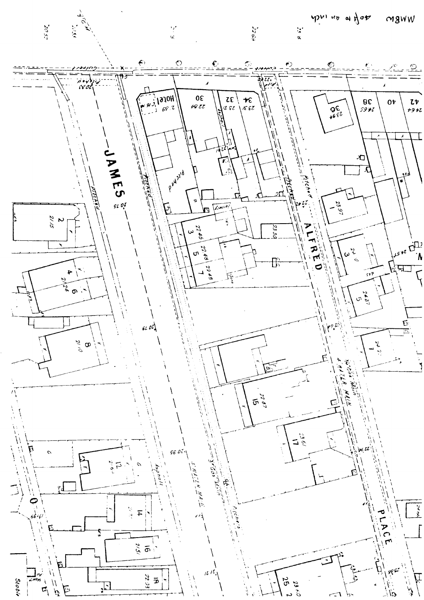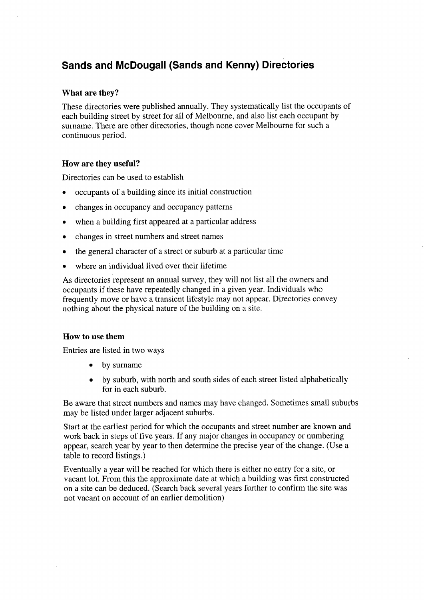# Sands and McDougall (Sands and Kenny) Directories

#### What are they?

These directories were published annually. They systematically list the occupants of each building street by street for all of Melbourne, and also list each occupant by surname. There are other directories, though none cover Melbourne for such a continuous period.

#### How are they useful?

Directories can be used to establish

- o occupants of a building since its initial construction
- changes in occupancy and occupancy patterns
- when a building first appeared at a particular address
- changes in street numbers and street names
- o the general character of a street or suburb at a particular time
- where an individual lived over their lifetime

As directories represent an annual survey, they will not list all the owners and occupants if these have repeatedly changed in a given year. Individuals who frequently move or have a transient lifestyle may not appear. Directories convey nothing about the physical nature of the building on a site.

#### How to use them

Entries are listed in two ways

- by surname
- by suburb, with north and south sides of each street listed alphabetically for in each suburb.

Be aware that street numbers and names may have changed. Sometimes small suburbs may be listed under larger adjacent suburbs.

Start at the earliest period for which the occupants and street number are known and work back in steps of five years. If any major changes in occupancy or numbering appear, search year by year to then determine the precise year of the change. (Use a table to record listings.)

Eventually ayear will be reached for which there is either no entry for a site, or vacant lot. From this the approximate date at which a building was first constructed on a site can be deduced. (Search back several years further to confirm the site was not vacant on account of an earlier demolition)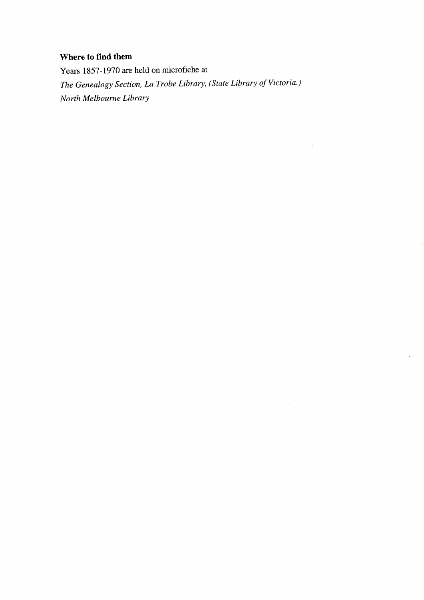## Where to find them

Years 1857-1970 are heid on microfiche at The Genealogy Section, La Trobe Library, (State Library of Victoria.) North Melbourne Library

 $\sim$ 

 $\mathcal{A}^{\mathcal{A}}$ 

 $\bar{\mathcal{A}}$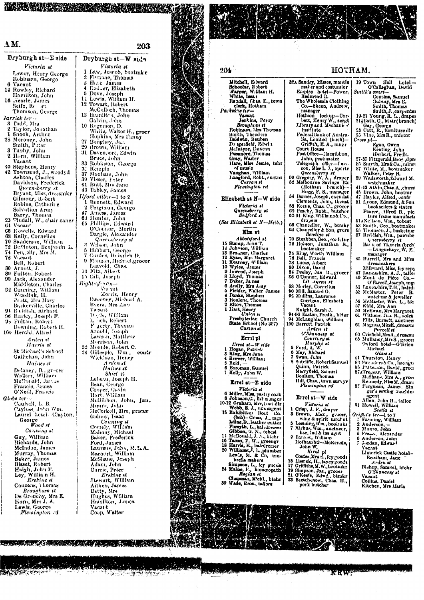#### $\Lambda M$ .

Dryburgh st-Eside

THE R. P. LEWIS CO., LANSING, MICH. 49-14039-1-120-2

203

Victoria st Lewer, Henry George Robinson, George 6 Vacant 14 Rowley, Richard Hamilton, John<br>16 Frearle, James<br>Seife, Re Thomson, George *Farrick ter*<br>3 Todd, Mrs 3 Tout, ars<br>2 Taylor, Jonathan<br>1 Snook, Arthur 23 Moroney, John<br>
Smith, P.ter<br>
3 Tuoby, John<br>
2 Horn, William<br>
Vacant Vacant<br>
42 Stephens, Henry<br>
42 Townsend, J., woodyd<br>
Ashton, Charles<br>
Davidson, Frederick<br>
Queensberry st<br>
Bryant, Liiss, dressmkr<br>
Gilmour, Robert<br>
Datine, Cobert Example, Robert<br>Robins, Catherine<br>Salvation Army<br>Barry, Thomas<br>23 Tindall, W., chair cancr<br>64 Veacall, Edmon 66 Howells, Edward 68 Kelly, Cornelius 70 Sanderson, William 72 Buttheon, Benjamin L.<br>72 Buttheon, Benjamin L.<br>74 Fen<sub>l</sub>elly, Mrs M. To Salembury, William<br>
74 Fengelly, Miss M.<br>
74 Fengelly, Miss M.<br>
76 Vicent<br>
18 Vicent<br>
30 Arnott, J.<br>
89 Fulton, Robert<br>
80 Arnott, J.<br>
89 Fulton, Charles<br>
22 Cunnista, William<br>
192 Cunnista, William<br>
193 Exterville, Cha Arden st Harris st St Michael's School<br>Gallichan, John Haines et Delaney, D., grocer<br>Walker, William<br>McDonald, Janua Francis, James O'Neill, Francis Globe ter-Caulsell, L. B.<br>Cayless, John Wm.<br>Laurel hetel-Clayton, George Wood st Canning st Canning at<br>Guy, William<br>McIndoe, James<br>McIndoe, James<br>Murray, Thomas<br>Baket, Robert<br>Haigh, John F.<br>Loy, William H.<br>Couzens. Technics at<br>Couzens. Thomas Couzens, Thomas *Brougham* it<br>De Grouchy, Mrs E.<br>Korn, Mrs J. A.<br>Lewis, George<br>*Pleutington* ed

**BARS SEX STRIP** 

Dryburgh st-W side Victoria st<br>Law, Joseph, bootmkr Finnane, Thomas  $\bullet$  $\tilde{\mathbf{s}}$ S Hile James<br>
4 Rodeer, Elizabeth<br>
5 Dove, Joseph<br>
1i Lewis, William H.<br>
12 Towart, Robert McCulloch, Thomas Galvin, John<br>Rogerson, D.<br>White, Walter H., groor<br>Hopkins, Mrs Panny<br>Bown, William<br>Davenport, Edwin<br>Davenport, Edwin<br>Bruce, John 10 - 27  $\overline{29}$  $\overline{31}$  $22$ Robinson, George 33 Romawn, George<br>37 Moxham, John<br>39 Visser, Feter<br>43 Rutt, Mrs Janes<br>43 Tabley, Janes  $Ilford$  villa $s-1$  to 2 1 Bennett, Eaward<br>2 Ferguson, George 2 Fegicon, George<br>
47 Amess, James<br>
63 Hunter, John<br>
65 Phillips, Edward<br>
C'Contor, Martin<br>
Dargle, Alexander Datgle, Alexander<br>
Queensberry st<br>
3 Wilson, John<br>
5 Hibbert, George<br>
7 Cordes, Beinrich D. Mangan, Mich.el, grocer<br>Leavold, Chas.  $\overline{9}$ 13 Fitz, Albert<br>15 Gill, Joseph<br>Right-of-way-Morris, Henry<br>Sweeney, Michael A.<br>Byers, Mrs Ano Vacant Dogde, William<br>Lyondi, Robert ı.<br>F F gerty, Thomas<br>Arnold, Joseph<br>Lawson, Matthew Eawson, Matthew<br>Morrison, John C.<br>34 Gillespie, Wm.,<br>Wickham, Henry<br>Arden st contr Haines st Shiel st<br>Leheau, Joseph H.<br>Bean, George Cooper, Gavin<br>Hart, William Hart, William<br>McGibbon, John, Jun,<br>Muuro, John<br>Muro, John<br>Celorkell, Mrs, groom<br>Connely, Villiam<br>Mahony, William<br>Mahony, William<br>Mahony, Wichael<br>Baker, Frederick<br>Tong, Janes<br>Loneon, John, M.A. Fort, James<br>Laurens, John, M.T.A.<br>Macourt, William<br>McShane, Joseph<br>Adam, John<br>Currie, Peter<br>*Erskine M. Erskine st*<br>Stewart, William<br>Aitken, James<br>Batty, Mrs<br>Hughes, William Hamilton, James Vacant Coop, Walter



| 204                                                                                   | нотнам.                                                                   |                                                                                                |  |  |  |  |
|---------------------------------------------------------------------------------------|---------------------------------------------------------------------------|------------------------------------------------------------------------------------------------|--|--|--|--|
| Mitchell, Edward                                                                      | 32.4 Sandry, Misses, mantle                                               | 19 Town<br>Hall<br>hotel –                                                                     |  |  |  |  |
| Schoolar, Robert<br>Warner, William H.<br>White, Issaes                               | mal er and costumler<br>Empire hotel-Power.                               | O'Callaghan, David                                                                             |  |  |  |  |
|                                                                                       | Redmond R.                                                                | Smith's ontri-<br>Cousins, Samuel                                                              |  |  |  |  |
| Randall, Chas. E., town.                                                              | The Wholesale Clothing                                                    | Galvay, Mrs E.                                                                                 |  |  |  |  |
| clerk, Hotham<br>Partoino ter—                                                        | Co.-Skeen, Andrew,<br>manager                                             | Smith, Thomas                                                                                  |  |  |  |  |
| Vacant                                                                                | Hotham<br>otham lockup-Cor-<br>bett, Henry W., sergt                      | Smith, J., carpenter<br>10-21 Young, R. L., drapen                                             |  |  |  |  |
| Jeating Percy<br>Broughens st                                                         | Library and Mechanic +                                                    | 211Bath, C., bt str (branch)                                                                   |  |  |  |  |
| Robinson, Mrs Thomas                                                                  | Institute                                                                 | Сау, Ссогде<br>23. Catt, R., furniture dir                                                     |  |  |  |  |
| Smith, Theodore<br>Baidwin, Reuben                                                    | Federal Bank of Austra-<br>lia, Limited (buch)--                          | 25 Vine, Mrs R., enfetur                                                                       |  |  |  |  |
| Dr igerdeld, Elwin                                                                    | Griffth, E. A., mngr                                                      | Crois pl-<br>Egan, Owen                                                                        |  |  |  |  |
| McIntyre, Duncan<br>Passmore, Thomas                                                  | Court House                                                               | Keating, John                                                                                  |  |  |  |  |
| Gray, Waiter<br>Hare, Miss Jessle, tchr                                               | Post Office—Macqibi on,<br>John, postmaster                               | Herbert, Freik.<br>27-33 Fitzgerald, Brog., Jpr.                                               |  |  |  |  |
|                                                                                       | Telegraph office-Iaw-                                                     | 25. Smyth, Mrs&Co., mlnr:                                                                      |  |  |  |  |
| of music<br>Vaughan, William                                                          | con, Miss L. J., opertr<br>Queensberry st                                 | 87 White, R., bootmaker<br>Walker, Peter B.                                                    |  |  |  |  |
| Langford, Robt., ructnr                                                               | 50 Gregory, W. A., drajer                                                 | 39 Wadsworth, Edward M.,                                                                       |  |  |  |  |
| Curra n st<br>Flemington rd                                                           | 52 Melbourne Savings Bk<br>(Hotham)<br>- branch)                          | watchmaker<br>41-43 Atkin, Chas. A., chinsi                                                    |  |  |  |  |
|                                                                                       | Hogg, F. S., manager                                                      | 45. Brown, John, bootmr                                                                        |  |  |  |  |
| Elizabeth at N-W side                                                                 | 54 Barnes, Joseph, caemist<br>Clements, John, thenst                      | 47 Hayles, Alfred, confr<br>51 Lyous, Edmund, & Son.                                           |  |  |  |  |
| Víctoria sl                                                                           | 58 Keene, Chas. C., grocer                                                | bookseilers & statrs                                                                           |  |  |  |  |
| Quesnuorrry el<br>Bedford st                                                          | 69 Peachy, Robt., butcher<br>62-64 King, Williams & Co.,                  | Pearce, Alfred B., pic.                                                                        |  |  |  |  |
| (See Elizabeth st $N-Mc/b$ .)                                                         | drapers                                                                   | ture frame manufacti<br>61ANellson, Wm., tobest                                                |  |  |  |  |
|                                                                                       | 66 Chancellor, W., btmkr<br>63 Chancellor & Son, grent                    | 53 Smith, Geo., bootmaker                                                                      |  |  |  |  |
| Elm st                                                                                | Bendigo st                                                                | 65. Thomsen, J., basketmr<br>57 Red lish, Wm., pawnbr                                          |  |  |  |  |
| Abbolufurd st<br>15 Statep, John T.                                                   | 70 Steabben, Geo. , could in r                                            | Queensberry st                                                                                 |  |  |  |  |
| 11 Johnson, William                                                                   | 72 Houson, Jonathan S.,<br>bootmaker                                      | Ba) k of Victoria (brch)<br>-- Longuehaye, W. E.                                               |  |  |  |  |
| 18 Browner, Charles<br>12 Ryan, Mrs Margaret                                          | 74 King, Worth William                                                    | manager                                                                                        |  |  |  |  |
|                                                                                       | 76 Bell, Francis<br>78 Lucas, Atbert                                      | 45 Burrell, Mrs and Miss<br>dressmakers                                                        |  |  |  |  |
| 11 Kearney, William<br>10 Wyles, James<br>9 Inwood, Joseph                            | 80 Dixon, David                                                           | Millward, Miss, fey repy                                                                       |  |  |  |  |
| 8 Lloyd, Thomas                                                                       | 84 Deeley, Jas R., grocer<br>86 O'Connor, Edward                          | 47 Lancashire, A. J., tailo:<br>40 Mont de Piéte Co.-                                          |  |  |  |  |
| 6 Andly, Mrs Amy                                                                      | Lit dyren et                                                              | O'Farrel', Joseph, ingi                                                                        |  |  |  |  |
|                                                                                       | 88 Morley, Cornelius<br>90 Mill, Samuel G.                                | 51 Lauca-hire, T.H., haird:<br>53 McMarter,<br>Peter<br>B.                                     |  |  |  |  |
| 6 Fielder, Walter James<br>4 Banks, Stephen<br>3 Roulent, Thomas                      | 92 Mullins, Laurence                                                      | watchmr & jeweller                                                                             |  |  |  |  |
| 2 Elton, Thomas                                                                       | Corrigan, Elizabeth<br>Vacant                                             | 56 McMaster, Wm. L., bki<br>57 Kidd, Mrs Ann                                                   |  |  |  |  |
| 1 Hart, Henry                                                                         | Knight, Sarah J.                                                          | 50 McEwan, Mrs Margaret                                                                        |  |  |  |  |
| ป้าน::n ม<br>Presbyterian Church                                                      | 94-96 Easton, Fredk., blder<br>94 McLaughlan, William                     | 01. Withers, Jno. R., solet<br>Ellis, Barnett, auctneet                                        |  |  |  |  |
| Blate School (No 307)                                                                 | 100 Berrett, Patrick                                                      | 61 Magnus, MissE, dress m                                                                      |  |  |  |  |
| Curzon st                                                                             | Arden it<br>U'Shanassy st                                                 | Purcell <b>st</b><br>63 Crisfield,MrsA.,dressmi                                                |  |  |  |  |
| Errol pl                                                                              | Courtney st                                                               | 65 Mullaney, Mrs S., grocei                                                                    |  |  |  |  |
| Erroi st–W side                                                                       | Muring st<br>5 Ford, A. W.                                                | Oxford hotel-O'Brien<br>Michael                                                                |  |  |  |  |
| l Hogan, Pstrick<br>3 King, Mrs Jane                                                  | 6 May, Richard                                                            | Glass st                                                                                       |  |  |  |  |
| 4 Brewer, William                                                                     | 7 Swan, John<br>8 Sutcliffe, Robert Samuel                                | ol Thurston, Henry<br>83 Savinders & Co., lisengti                                             |  |  |  |  |
| 5 Reid,<br>6 Boroman, Samuel                                                          | Quinn, Patrick                                                            | 85 Patterson, David, groci                                                                     |  |  |  |  |
| 7 Kelly, John W.                                                                      | Merryfield, Samuel<br>Boulton, Thomas                                     | 87 AT regevr, William McShane, Mrs A., groci                                                   |  |  |  |  |
| Errel st—E side                                                                       | Hill, Chan., town survyr                                                  | Kennedy, Miss M., dram                                                                         |  |  |  |  |
| Victoria sl                                                                           | Flemington rd                                                             | 87 Ferguson, James. Sin                                                                        |  |  |  |  |
| 6 Miller, Miss, pastry cook                                                           | Errol st-W side                                                           | ger's sewing machine<br>arent                                                                  |  |  |  |  |
| 8 Johnson, C., fist monger i<br>10-12 Grahara, Mrs, Loot dir                          | Vidoria st                                                                | Allan, John H., tailor                                                                         |  |  |  |  |
| Webb, S. J., nowsagent                                                                | 1 Crisp, J. F., drayer                                                    | 91 Howell, William<br>Scotia u                                                                 |  |  |  |  |
| 16 Exhibition Boot<br>Co.<br>(bch) – Cross, J., mgr                                   | 3 Brown, Alex., grocer, while & spirit mrch nt                            | Grifin's ter—1 to 7                                                                            |  |  |  |  |
| Lilae, D., leather cutter                                                             | 5 Leeming Wm., bootmkr                                                    | I Fanning, William<br>2 Anderson, -                                                            |  |  |  |  |
| Forsyth, L., hairdresser<br>Gibbon, G. N., tobest                                     | 7 Kirkus, Wm., auctneer,                                                  | 3 Munro, John                                                                                  |  |  |  |  |
| 14 McDonald, J. A., bishr                                                             | hse, Ind & ins agut<br>2 Barrow, William                                  | 6 Franci, Alexander<br>6. Anderson, John                                                       |  |  |  |  |
| 16 Tacon, F. W., greengr<br>18 Harris, E., balcdrerser<br>20 Williams, J. L., plumber | Ilothamhtl—McKenzie,                                                      | 7. Jordan, Edward                                                                              |  |  |  |  |
|                                                                                       | John W,                                                                   | Vac:nt<br>Linerick Castle hotel=                                                               |  |  |  |  |
| Lewis, M. & Co, um-<br>brella makers                                                  | Birol pl<br>Coates, Mrs E., fey goods                                     | Beedham, Jane                                                                                  |  |  |  |  |
| Simpson, L., ley goccis                                                               | 15 Lisa ek, IL, fancy goods<br>17 Griffiths, M.W., bootmkr                | Arden at<br>Bishop, Samuel, bichr                                                              |  |  |  |  |
| 24 Maine, F., homoeopath<br><i>Ra</i> çlan sl                                         | 19 Simpson, Jas., grocer                                                  | OʻShanarry si                                                                                  |  |  |  |  |
| Chapman, Michl., bichr.                                                               | 21 O'Keele, Edwe, bimkr<br>23 Beetchenow, Chas. II.,                      | Vacant<br>Collins, Paniel                                                                      |  |  |  |  |
| 30 Wade, Bros., tailors                                                               | pork butcher                                                              | Kitchen, Mrs Maria                                                                             |  |  |  |  |
|                                                                                       |                                                                           |                                                                                                |  |  |  |  |
|                                                                                       |                                                                           |                                                                                                |  |  |  |  |
| ा स<br><b>Γ€Σ</b>                                                                     | <b>Contract Contract Contract Contract</b><br>$\mathcal{C}^{\mathcal{C}}$ | <b>Second Property Constitution of the Constitution Constitution Constitution Constitution</b> |  |  |  |  |

a ta shekarar ta 1990 a ma

KKW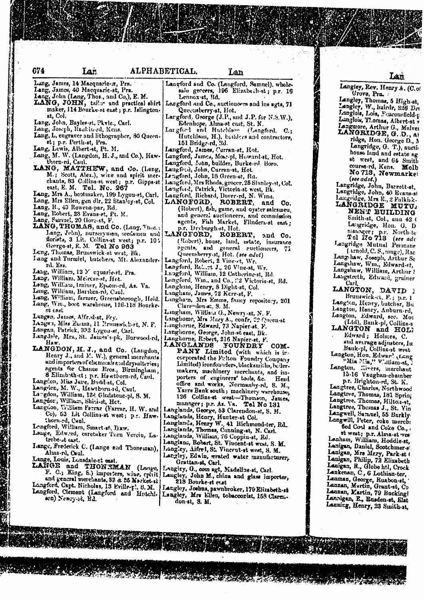674

Lang, James, 14 Macquarie-x, Pra.

Lar

- Lang, James, 40 Macquarie-st, Pra.
- Lang, John (Lang, Thos., and Co.), E. M.<br>LANG, JOHN, tailor and practical shirt maker, 114 Bourke-st east; p.r. Jalington-
- st, Col. Lang, John, Bayles-et, Pkvle., Carl.
- Lang, Joseph, Raukin-rd, Kens.
- Lang, L, engraver and lithographer, 30 Queen-
- st; p.r. Perth.st, Pra.
- 
- Lang, Lewis, Albert-st, Pt. M.<br>Lang, M. W. (Langdon, H. J., and Co.), Hawthorn-rd, Caul.
- LANG, MATTHEW, and Co. (Lang, M.; Scott, Alex.), wire and spirit mer-<br>chants, 83 Collins st west; p.r. Gipps at<br>east, E. M. Tel. No. 267
- Lang, Mrs A., bootmaker, 199 Lygon-st, Carl.
- Lang, Mrs Ellen, gen dlr. 22 Stanley-st, Col.
- Lang, R., 43 Rowena-par, Rd.
- Lang, Robert, 28 Evans st, Pt. M.
- 
- Lang, Samuel, 20 (lors-st, F. LANG, Thos.) Lang, John), nurserymen, seedsmen and florists, 3 Lit. Collins-st west; p.r. 10% George-st, E. M. Tel No 963
- Leng, Thomas, Brunswick-st west, Bk.
- Jang and Turmiel, butchers, Mt. Alexanderrd. Ess.
- Lang, William, 12 M equarie-st. Pra.
- Lang, William, Meircssist, Hot.
- 
- Lang, William, trainer, Epsom-rd, As. Va. Lang, William, Barrbra-rd, Caul.
- Lang, William, farmer, Greensborough, Heid. Lang, Wro., boot warehouse, 116-118 Rourke- $50.6936$
- Langen, James, Alfr.d-st, Fey.
- 
- Langen, Miss Emma, 11 Prunswich-et, N. F. Langen, Patrick, 332 Lygon-st, Carl.
- Langdele, Mrs., St. James's-pk, Burwood-rd,
- Haw.
- LANGDON, H. J., and Co. (Langdon, Henry J., and M. W.), general merchants and importers of changes and discussional set agents for Chance Eros., Birmingham, 8 Elizabeth-et; p.r. Howthorn-rd, Caul.
- Langdon, Miss Jave, Budd-st, Col.
- Langden, M. W., Hawthorn-rd, Caul.
- La rgdon, William, 134 Glrdstone-pl, S. M.
- 
- Langdon; William, Shiel-st, Het. Langdon; William, Shiel-st, Het. Co), 63 Lit Collins at weat; p.s. Hawthorn-rd, Caul.
- Lengford, William, Smart-st, Daw.
- Lange, Edword, caretaker Turn Vercin, La-
- trobe-et east. Jange, Frederick C. (Lange and Thoneman),
- Alma-rd, Ceul.
- Lange, Louis, Lonsdale-et east.
- LANGE and THONEMAN (Lange, F. C.; King, S.) importers, wine, cpluit and general merchants, 32 & 25 Market at
- 
- Langford and Co. (Langford, Samuel), wholesale grecers, 196 Elizabethest; p.r. 16 Lennex-st, Rd.
- Langford and Co., auctioneers and ins agts, 71 Quecusberry-st, Hot.
- Largford, George (J.P., and J.P. for N.S.W.), Edenhope, Alma-at east, St. K.<br>Largford and Hutchison (Langford, C.;
- Largion 1 and Huccasson (Enalglord, C.;<br>Hutchison, H.), builders and contractors,<br>151 Bridge-rd, Rd.<br>Langford, James, Curran-st, Rot.
- 
- Langford, James, Mos.-pl, Howard-st, Hot.<br>Langford, John, builder, Burke-rd, Boro.
- 
- Langford, John, Curran-st, Hot.
- 
- Lengford, John, 18 Green-st, Ra.<br>Langford, Mrs Rhoda, grocer, 25 Stanley-st, Cof. Langford, Patrick, Victoria st west, Bk.<br>Langford, Richard, Dover-rd, N. Wmn.
- - LANGFORD, ROBERT, and Co. (Robert), fish, game, and oyster salesmen, and general auctioneers, and commission agents, Fish Market, Flinders et east; p.r. Dryburgh-st, Hot.
- LANGFORD, ROBERT, and Co. (Robert), house, land, crtate, insurance Queensberry st, Hot. (see advt)
	-
- Langford, Robert, 2 Vine-st, Wr.<br>Langford, Robert, 2 Vine-st, Wr.
- Langford, William, 12 Catherine-st, Rd. Langford, Win., and Co., 22 Victoria-st, Rd.
- 
- Langham, Henry, 8 Dight-st, Col.
- Langham, James, 72 Kcrr-st, F.
- Langham, Mrs Emms, faucy repository, 201 Clarendon-sc, S. M.
- 
- Lingham, William G., Newry-st, N. F.<br>Linghome, Mrs Mary A., confr, 22 Queen-st<br>Linghorne, Edward, 73 Napier-st, F.
- 
- Langhorne, George, John st east, Bk.
- 
- Langhorne, Robert, 216 Napier-st, F. **FOUNDRY COM-**PANY Limited (with which is incorporated the Felton' Foundry Company Limited) ironfounders, blacksmiths, hellermakers, machinery merchants, and importers of engineers' tools, &c. Head office and works, Normanby-rd, S. M., Yarrs Bank south; machinery warehouse, 126 Collins at west-Thomson, James, mannger; p.r. As. Va. Tel No 131
- 
- 
- Langlands, George, 53 Clarendon-at, S. M.<br>Langlands, Henry, Hunter-st Col.<br>Langlands, Henry W., 41 Richmond-ter, Rd.
- Langiands, Thomas, Canning-st, N. Carl.
- Langlands, William, 76 Coppin-st, Rd.
- 
- Langlens, Robert, St. Viveent-st west, S. M.<br>Langley, Aifrel, St. Viveent-st west, S. M.
- Langley, Edwin, erated water manufacturer. Grattan-st, Carl.
- Langley, G., com agt, Madeline-st, Carl.
- Laugley, John M., china and glass importer, 218 Bourke-st etat
- Langford, Cent. Nicholas, 13 Eville-r., 8. M. Langley, Joshna, pawnbroker, 179 Elizabeth-st Langford, Clement (Langford and Hutchi- Langley, Mrs Ellen, tobacconist, 158 Clarens-<br>
sca) Newsy-zt, Rd. (1998)

法不能无法保险

Langley, Rev. Henry A. (C.of

Crove, Pra. Langley, Thomas, 5 High-st, Langley, W., hairdr, 326 Det Langlois, Lois, Feacousfield-p Langlois, T' omas, Albert-st v Languiore, Arthur G., Malver ridge, Hon. George D., A Langridge, G. T.), auctio house hud and estate ag st west, and 64 Smith

course-rd, Kens. Molb No'713, Newmarket  $($ see  $adot.)$ 

Langridge, John, Barrett-st, Langridge, John, 40 Evans-si

LANGRIDGE MUTU. NENT BUILDING Smith-st, Col., and 42 ( Langridge, Hon. G. D niansger; p.r. North-te Langridge Mutual Permane

(Arnold, C. S., mngr), Rac Lang haw, Joseph, Arthur Se Langshaw, Wm., Edward-st, Langshaw, William, Arthur Langstreth, Edward, gruiner  $Uurl$ 

LANGTON, DAVID Langton, Heavy, butcher, Bu Langton, Henry, Auburn-rd, Langton, Edward, sec. Mor

LANGTON and HOLI

and average adjusters, In Bank-pl, Colline-st west Langton, Hon, Edwar! (Lang

Langton, Rivers, merchant 15-16 Vaughan-chamber

p.r. Brighton-rd, St. K. Largtree, Charles, Northwood Langtree, Thomas, 181 Spring<br>Langtree, Thomas, Hilton-st,<br>Langtree, Thomas J., St. Vin Langwell, Samuel, 55 Barkly. Langwill, Peter, coke merch:

bed Conl and Coke Co., st west; p.r. Alma-st wes Lanham, William, Hoddle-st, Lanigan, Daniel, Scotchmer-st.<br>Lanigan, Mrs Mery, Park-st (Lanigan, Philip, 72 Elizabeth Lanigan, R., Globe htl, Crock Lankenan, C., 6 Lothian-ter, Lanman, George, Rusbon-st, Lannan, Martin, Grant-st, Co<br>Lannan, Martin, 79 Bucking! Lannigan, E., Rusden-st, Elst Lanning, Henry, 23 Smith-st,

Lan

Lan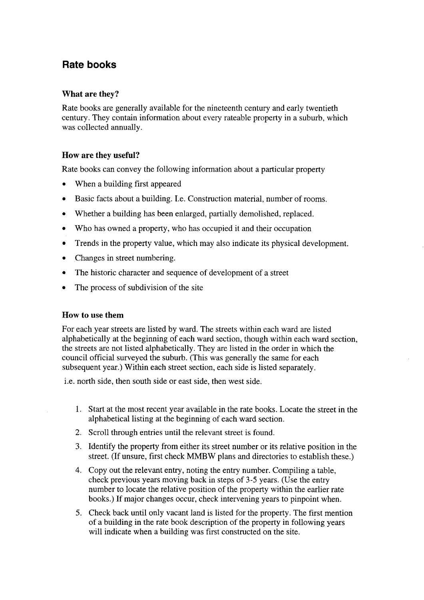# Rate books

#### What are they?

Rate books are generally available for the nineteenth century and early twentieth century. They contain information about every rateable property in a suburb, which was collected annuallv.

#### How are they useful?

Rate books can convey the following information about a particular property

- When a building first appeared
- o Basic facts about a building. I.e. Construction material, number of rooms.
- Whether a building has been enlarged, partially demolished, replaced.
- Who has owned a property, who has occupied it and their occupation
- Trends in the property value, which may also indicate its physical development.
- Changes in street numbering.
- The historic character and sequence of development of a street
- The process of subdivision of the site

#### How to use them

For each year streets are listed by ward. The streets within each ward are listed alphabetically at the beginning of each ward section, though within each ward section, the streets are not listed alphabetically. They are listed in the order in which the council official surveyed the suburb. (This was generally the same for each subsequent year.) Within each street section, each side is listed separately.

i.e. north side, then south side or east side, then west side.

- 1. Start at the most recent year available in the rate books. Locate the street in the alphabetical listing at the beginning of each ward section.
- 2. Scroll through entries until the relevant street is found.
- 3. Identify the property from either its street number or its relative position in the street. (If unsure, frrst check MMBW plans and directories to establish these.)
- 4. Copy out the relevant entry, noting the entry number. Compiling a table, check previous years moving back in steps of 3-5 years. (Use the entry number to locate the relative position of the property within the earlier rate books.) If major changes occur, check intervening years to pinpoint when.
- 5. Check back until only vacant land is listed for the property. The first mention of a building in the rate book description of the property in following years will indicate when a building was first constructed on the site.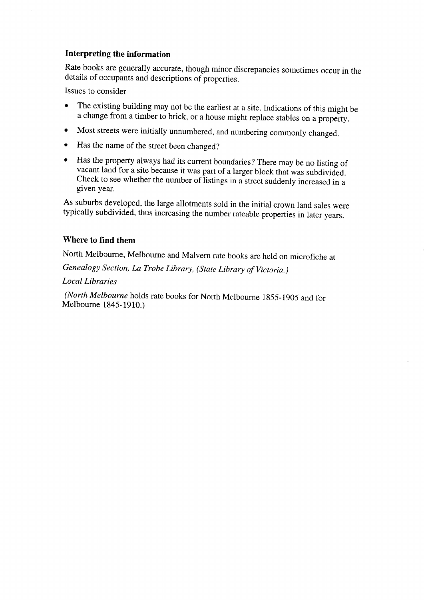#### Interpreting the information

Rate books are generally accurate, though minor discrepancies sometimes occur in the details of occupants and descriptions of properties.

Issues to consider

- o The existing building may not be the earliest at a site. Indications of this might be a change from a timber to brick, or a house might replace stables on a property.
- o Most streets were initially unnumbered, and numbering commonly changed.
- o Has the name of the street been changed?
- o Has the property always had its current boundaries? There may be no listing of vacant land for a site because it was part of a larger block that was subdivided. Check to see whether the number of listings in a street suddenly increased in a given year.

As suburbs developed, the large allotments sold in the initial crown land sales were typically subdivided, thus increasing the number rateable properties in later years.

## Where to find them

North Melbourne, Melbourne and Malvern rate books are held on microfiche at

Genealogy section, Ia Trobe Library, (state Library of victoria. )

Local Libraries

(North Melbourne holds rate books for North Melbourne 1855-1905 and for Melbourne 1845-1910.)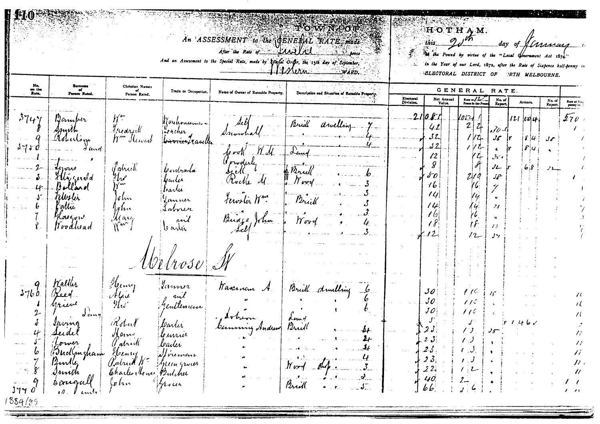|                                                                                |                                                                                                                |                                                                                                                                                    |                                                                                                                           | After the Rete of AAALAL             | TOWNCOF<br>An ASSESSMENT to the CENERAL RATE mode<br><b><i>SALL BORCE</i></b><br>And an Assessment to the Special Rate, made by Apofal Order, the 13th day of September,<br><i>Maria</i><br>$W$ ARD. |                        |                                                                                                                                 | HOTHAM.<br>Pound by virtue of the "Local<br>BLECTORAL DISTRICT OF                                                                                                    | day of                                                                                                   | Government Act 1874.'<br><b>RTH MELBOURNE.</b>  | in the Year of our Lord, 1872, after the Rate of Sixpence half-penny in                                                                                  |  |  |
|--------------------------------------------------------------------------------|----------------------------------------------------------------------------------------------------------------|----------------------------------------------------------------------------------------------------------------------------------------------------|---------------------------------------------------------------------------------------------------------------------------|--------------------------------------|------------------------------------------------------------------------------------------------------------------------------------------------------------------------------------------------------|------------------------|---------------------------------------------------------------------------------------------------------------------------------|----------------------------------------------------------------------------------------------------------------------------------------------------------------------|----------------------------------------------------------------------------------------------------------|-------------------------------------------------|----------------------------------------------------------------------------------------------------------------------------------------------------------|--|--|
| No.<br>on the                                                                  | Surname<br>of<br>Parson Rated,                                                                                 | Christian Names<br>Trade or Occupation.<br>Name of Owner of Rateable Property.<br>Description and Situation of Ratesble Property.<br>Person Rated. |                                                                                                                           |                                      |                                                                                                                                                                                                      |                        |                                                                                                                                 | GENERAL<br>RATE.<br>Rate at $1.7$<br>Net Annual                                                                                                                      |                                                                                                          |                                                 |                                                                                                                                                          |  |  |
| 374<br>$5 - 7 - 0$                                                             | <b>Damper</b><br>of and<br>urne<br><i>Illy cerald</i><br>allar ol<br>illstir<br>'attu<br>Kaegoro<br>'I vodhead | udri M<br>Jahrek<br>n v<br>$\mathsf{h}^{\prime\mathsf{w}}$<br>.ohn<br>$\mu$ lın<br>${\cal U}$ any<br>$\mathcal{N}^{\mathbf{w}^{\mathbf{w}}}$       | Mayhouseman<br>rachir<br><del>úvrico</del> /raullu<br>levulrada<br>bada<br>toartú<br>Janner<br>Saborer<br>rul<br>le artir | $A$ o o $V$<br>pwolis<br>Panase John | Brudt<br>dwelling<br>ببيبه<br>$N$ ov $\nu$<br>12rii<br>$\gamma_{\sigma}$                                                                                                                             | Electoral<br>Division. | Value.<br>21081<br>41<br>32.<br>2.که<br>$\mathbf{12}$<br>8<br>$\delta$ O<br>16<br> U <br>14<br>16<br>$\ell$<br>$\sim$ 12        | Pence in the Pous<br>Vosu<br>$\mathbf{z}$<br>$z_{\vdash}$<br>1Zj.<br>$\frac{7}{7}$<br>210<br>76<br>Ug.<br>$\frac{1}{2}$<br>76<br>(f<br>$12-$                         | No. of<br>Report.<br>$J\nu J$<br>$J_{\delta}$<br>300<br>JL<br>$J_{\mathbf{f}}$<br>ىرىد<br>28<br>13<br>ノン | Arrears.<br>121  124 <br>  8   4<br>₽<br>ا ز ما | No. of<br>Report.<br>Rate at Six <sub>1</sub><br>penny in<br>$\mathcal{I}7\rho$                                                                          |  |  |
| 37b<br>4<br>$\mathbb{R}^n \times \mathcal{S}^n$<br>$c_{1}$<br>3770'<br>1884/85 | ol cin<br>itumg<br>Seedel<br>Jower<br>Budlingham<br>$11$ undle,<br>Irmth<br>songall<br>$10.$ $\mu$ and         | Henry<br>Hhu<br>Robert<br>Ham<br><i>(l'atride</i><br>Henry<br>Patrick W. Jeungroux<br>Charles Henry Butcher<br>$\int_{\mathcal{V}} f(x) dx$        | Delrose<br>farmer<br>entleman<br>Currier<br>bailer!<br>Wieman<br><b><i>Mungwar</i></b><br>frour                           | Wascrnem<br>summy trader             | Brick drulling<br>Prid<br>-bf<br>$\mathcal{L}$<br>$M$ and $M_{\rm p}$ .<br>$\mathcal{L}_{\text{max}}$<br>Brill<br>$\sim 5$<br>$\bullet$                                                              |                        | 30 <sub>1</sub><br>$\mathcal{S}o$<br>JO<br>$23^\circ$<br>$2 \mathcal{J} $<br>$2.3$ .<br>23 <sub>i</sub><br>22.<br>40.<br>$b\,b$ | 1 10<br>$\ell$ / $\ell^{\circ}$<br>110<br>$\sqrt{2}$<br>$\prime$ . $\prime$<br>$\epsilon$ , $J_z$<br>$\mathcal{L}$ : $\mathcal{J}$<br>$1.2 -$<br>بيا<br>$\mathbf{J}$ | $J_{\mathcal{F}}$ .                                                                                      |                                                 | $\mathcal{U}$<br>$\mathcal{I}\mathcal{I}$<br>$\overline{B}$<br>$\overline{\nu}$ .<br>$\prime\prime$<br>$\prime$ $\prime$<br>$\mathcal{F}=\mathcal{F}$ to |  |  |

errix

<u> 1989 - John Street, Schwaltzer auf der Street auf der Street auf der Street auf der Street aufgegenden Entstand am der Street aufgegenden am der Street aufgegenden am der Street aufgegenden am der Street aufgegenden am d</u>

----

**Contract of the Contract of Contract of the**